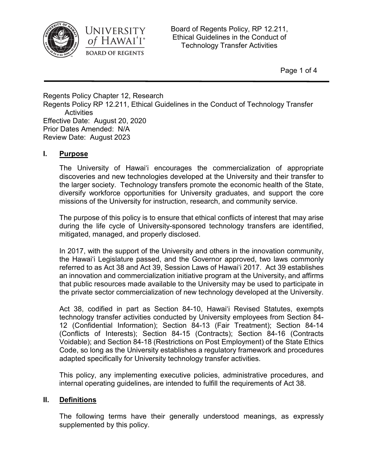



Board of Regents Policy, RP 12.211, Ethical Guidelines in the Conduct of Technology Transfer Activities

Page 1 of 4

Regents Policy Chapter 12, Research Regents Policy RP 12.211, Ethical Guidelines in the Conduct of Technology Transfer **Activities** Effective Date: August 20, 2020 Prior Dates Amended: N/A Review Date: August 2023

## **I. Purpose**

The University of Hawai'i encourages the commercialization of appropriate discoveries and new technologies developed at the University and their transfer to the larger society. Technology transfers promote the economic health of the State, diversify workforce opportunities for University graduates, and support the core missions of the University for instruction, research, and community service.

The purpose of this policy is to ensure that ethical conflicts of interest that may arise during the life cycle of University-sponsored technology transfers are identified, mitigated, managed, and properly disclosed.

In 2017, with the support of the University and others in the innovation community, the Hawai'i Legislature passed, and the Governor approved, two laws commonly referred to as Act 38 and Act 39, Session Laws of Hawai'i 2017. Act 39 establishes an innovation and commercialization initiative program at the University, and affirms that public resources made available to the University may be used to participate in the private sector commercialization of new technology developed at the University.

Act 38, codified in part as Section 84-10, Hawai'i Revised Statutes, exempts technology transfer activities conducted by University employees from Section 84- 12 (Confidential Information); Section 84-13 (Fair Treatment); Section 84-14 (Conflicts of Interests); Section 84-15 (Contracts); Section 84-16 (Contracts Voidable); and Section 84-18 (Restrictions on Post Employment) of the State Ethics Code, so long as the University establishes a regulatory framework and procedures adapted specifically for University technology transfer activities.

This policy, any implementing executive policies, administrative procedures, and internal operating guidelines, are intended to fulfill the requirements of Act 38.

## **II. Definitions**

The following terms have their generally understood meanings, as expressly supplemented by this policy.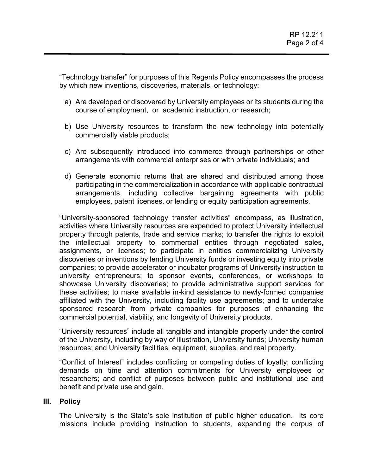"Technology transfer" for purposes of this Regents Policy encompasses the process by which new inventions, discoveries, materials, or technology:

- a) Are developed or discovered by University employees or its students during the course of employment, or academic instruction, or research;
- b) Use University resources to transform the new technology into potentially commercially viable products;
- c) Are subsequently introduced into commerce through partnerships or other arrangements with commercial enterprises or with private individuals; and
- d) Generate economic returns that are shared and distributed among those participating in the commercialization in accordance with applicable contractual arrangements, including collective bargaining agreements with public employees, patent licenses, or lending or equity participation agreements.

"University-sponsored technology transfer activities" encompass, as illustration, activities where University resources are expended to protect University intellectual property through patents, trade and service marks; to transfer the rights to exploit the intellectual property to commercial entities through negotiated sales, assignments, or licenses; to participate in entities commercializing University discoveries or inventions by lending University funds or investing equity into private companies; to provide accelerator or incubator programs of University instruction to university entrepreneurs; to sponsor events, conferences, or workshops to showcase University discoveries; to provide administrative support services for these activities; to make available in-kind assistance to newly-formed companies affiliated with the University, including facility use agreements; and to undertake sponsored research from private companies for purposes of enhancing the commercial potential, viability, and longevity of University products.

"University resources" include all tangible and intangible property under the control of the University, including by way of illustration, University funds; University human resources; and University facilities, equipment, supplies, and real property.

"Conflict of Interest" includes conflicting or competing duties of loyalty; conflicting demands on time and attention commitments for University employees or researchers; and conflict of purposes between public and institutional use and benefit and private use and gain.

#### **III. Policy**

The University is the State's sole institution of public higher education. Its core missions include providing instruction to students, expanding the corpus of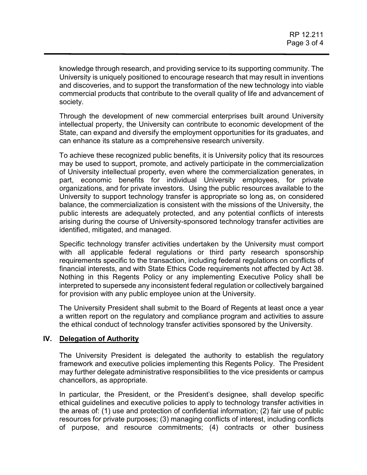knowledge through research, and providing service to its supporting community. The University is uniquely positioned to encourage research that may result in inventions and discoveries, and to support the transformation of the new technology into viable commercial products that contribute to the overall quality of life and advancement of society.

Through the development of new commercial enterprises built around University intellectual property, the University can contribute to economic development of the State, can expand and diversify the employment opportunities for its graduates, and can enhance its stature as a comprehensive research university.

To achieve these recognized public benefits, it is University policy that its resources may be used to support, promote, and actively participate in the commercialization of University intellectual property, even where the commercialization generates, in part, economic benefits for individual University employees, for private organizations, and for private investors. Using the public resources available to the University to support technology transfer is appropriate so long as, on considered balance, the commercialization is consistent with the missions of the University, the public interests are adequately protected, and any potential conflicts of interests arising during the course of University-sponsored technology transfer activities are identified, mitigated, and managed.

Specific technology transfer activities undertaken by the University must comport with all applicable federal regulations or third party research sponsorship requirements specific to the transaction, including federal regulations on conflicts of financial interests, and with State Ethics Code requirements not affected by Act 38. Nothing in this Regents Policy or any implementing Executive Policy shall be interpreted to supersede any inconsistent federal regulation or collectively bargained for provision with any public employee union at the University.

The University President shall submit to the Board of Regents at least once a year a written report on the regulatory and compliance program and activities to assure the ethical conduct of technology transfer activities sponsored by the University.

## **IV. Delegation of Authority**

The University President is delegated the authority to establish the regulatory framework and executive policies implementing this Regents Policy. The President may further delegate administrative responsibilities to the vice presidents or campus chancellors, as appropriate.

In particular, the President, or the President's designee, shall develop specific ethical guidelines and executive policies to apply to technology transfer activities in the areas of: (1) use and protection of confidential information; (2) fair use of public resources for private purposes; (3) managing conflicts of interest, including conflicts of purpose, and resource commitments; (4) contracts or other business